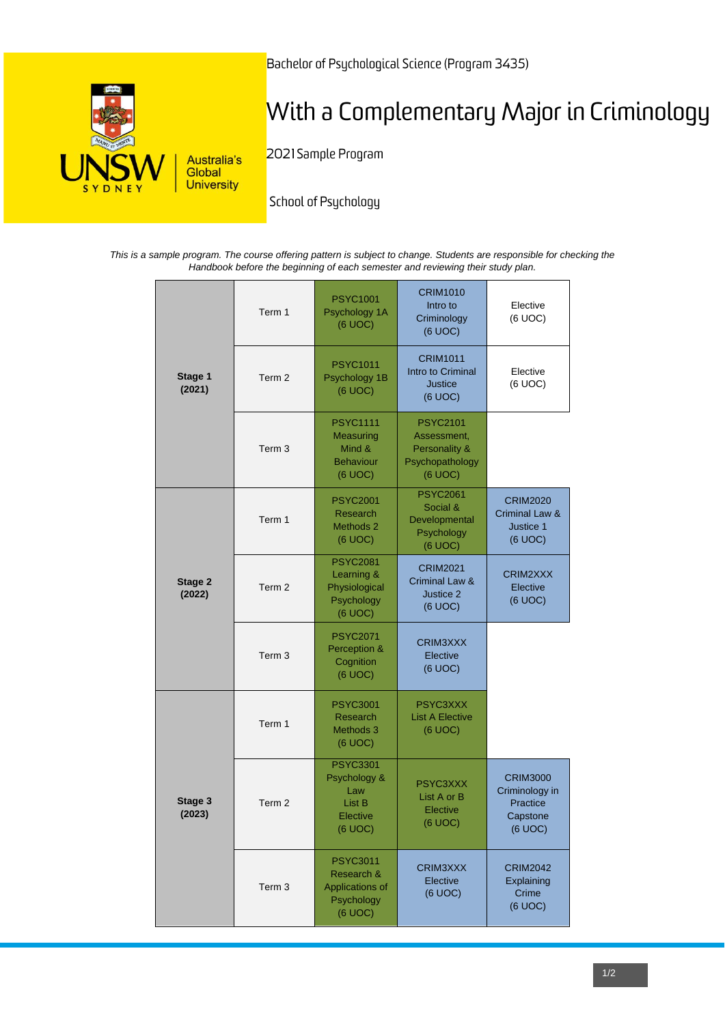

Bachelor of Psychological Science (Program 3435)

# With a Complementary Major in Criminology

2021 Sample Program

School of Psychology

*This is a sample program. The course offering pattern is subject to change. Students are responsible for checking the Handbook before the beginning of each semester and reviewing their study plan.*

|                   | Term 1            | <b>PSYC1001</b><br>Psychology 1A<br>(6 UOC)                               | <b>CRIM1010</b><br>Intro to<br>Criminology<br>(6 UOC)                         | Elective<br>(6 UOC)                                                  |
|-------------------|-------------------|---------------------------------------------------------------------------|-------------------------------------------------------------------------------|----------------------------------------------------------------------|
| Stage 1<br>(2021) | Term 2            | <b>PSYC1011</b><br>Psychology 1B<br>(6 UOC)                               | <b>CRIM1011</b><br>Intro to Criminal<br><b>Justice</b><br>(6 UOC)             | Elective<br>(6 UOC)                                                  |
|                   | Term 3            | <b>PSYC1111</b><br>Measuring<br>Mind &<br><b>Behaviour</b><br>(6 UOC)     | <b>PSYC2101</b><br>Assessment,<br>Personality &<br>Psychopathology<br>(6 UOC) |                                                                      |
|                   | Term 1            | <b>PSYC2001</b><br>Research<br>Methods 2<br>(6 UOC)                       | <b>PSYC2061</b><br>Social &<br>Developmental<br>Psychology<br>(6 UOC)         | <b>CRIM2020</b><br>Criminal Law &<br>Justice 1<br>(6 UOC)            |
| Stage 2<br>(2022) | Term <sub>2</sub> | <b>PSYC2081</b><br>Learning &<br>Physiological<br>Psychology<br>(6 UOC)   | <b>CRIM2021</b><br>Criminal Law &<br>Justice 2<br>(6 UOC)                     | CRIM2XXX<br>Elective<br>(6 UOC)                                      |
|                   | Term 3            | <b>PSYC2071</b><br>Perception &<br>Cognition<br>(6 UOC)                   | CRIM3XXX<br>Elective<br>(6 UOC)                                               |                                                                      |
|                   | Term 1            | <b>PSYC3001</b><br>Research<br>Methods 3<br>(6 UOC)                       | PSYC3XXX<br><b>List A Elective</b><br>(6 UOC)                                 |                                                                      |
| Stage 3<br>(2023) | Term <sub>2</sub> | <b>PSYC3301</b><br>Psychology &<br>Law<br>List B<br>Elective<br>(6 UOC)   | PSYC3XXX<br>List A or B<br>Elective<br>(6 UOC)                                | <b>CRIM3000</b><br>Criminology in<br>Practice<br>Capstone<br>(6 UOC) |
|                   | Term 3            | <b>PSYC3011</b><br>Research &<br>Applications of<br>Psychology<br>(6 UOC) | CRIM3XXX<br>Elective<br>(6 UOC)                                               | <b>CRIM2042</b><br>Explaining<br>Crime<br>(6 UOC)                    |